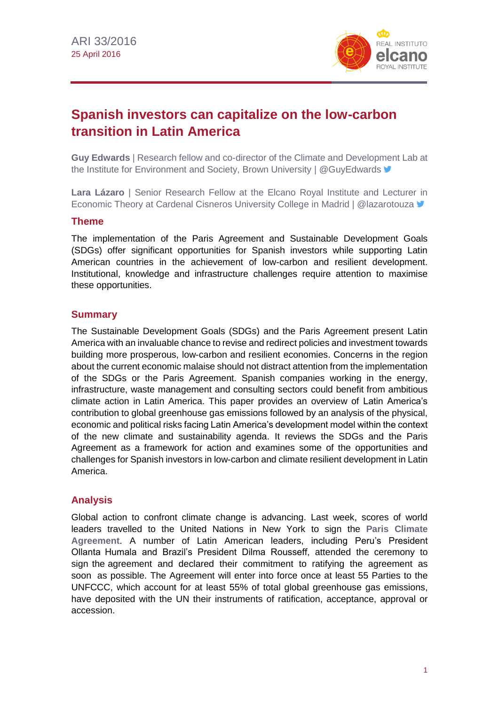

# **Spanish investors can capitalize on the low-carbon transition in Latin America**

**Guy Edwards** | Research fellow and co-director of the Climate and Development Lab at the Institute for Environment and Society, Brown University | [@GuyEdwards](http://twitter.com/guyedwards)  $\blacktriangleright$ 

**Lara Lázaro** | Senior Research Fellow at the Elcano Royal Institute and Lecturer in Economic Theory at Cardenal Cisneros University College in Madrid | @lazarotouza  $\blacktriangleright$ 

# **Theme**

The implementation of the Paris Agreement and Sustainable Development Goals (SDGs) offer significant opportunities for Spanish investors while supporting Latin American countries in the achievement of low-carbon and resilient development. Institutional, knowledge and infrastructure challenges require attention to maximise these opportunities.

# **Summary**

The Sustainable Development Goals (SDGs) and the Paris Agreement present Latin America with an invaluable chance to revise and redirect policies and investment towards building more prosperous, low-carbon and resilient economies. Concerns in the region about the current economic malaise should not distract attention from the implementation of the SDGs or the Paris Agreement. Spanish companies working in the energy, infrastructure, waste management and consulting sectors could benefit from ambitious climate action in Latin America. This paper provides an overview of Latin America's contribution to global greenhouse gas emissions followed by an analysis of the physical, economic and political risks facing Latin America's development model within the context of the new climate and sustainability agenda. It reviews the SDGs and the Paris Agreement as a framework for action and examines some of the opportunities and challenges for Spanish investors in low-carbon and climate resilient development in Latin America.

# **Analysis**

Global action to confront climate change is advancing. Last week, scores of world leaders travelled to the United Nations in New York to sign the **Paris [Climate](http://unfccc.int/resource/docs/2015/cop21/eng/l09r01.pdf)  [Agreement](http://unfccc.int/resource/docs/2015/cop21/eng/l09r01.pdf)**. A number of Latin American leaders, including Peru's President Ollanta Humala and Brazil's President Dilma Rousseff, attended the ceremony to sign the agreement and declared their commitment to ratifying the agreement as soon as possible. The Agreement will enter into force once at least 55 Parties to the UNFCCC, which account for at least 55% of total global greenhouse gas emissions, have deposited with the UN their instruments of ratification, acceptance, approval or accession.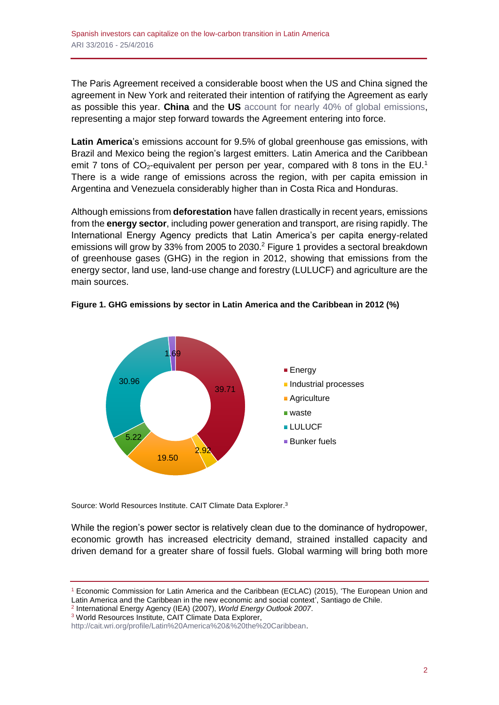The Paris Agreement received a considerable boost when the US and China signed the agreement in New York and reiterated their intention of ratifying the Agreement as early as possible this year. **China** and the **US** [account for nearly 40% of global emissions,](http://www.whitehouse.gov/the-press-office/2014/11/11/us-china-joint-announcement-climate-change) representing a major step forward towards the Agreement entering into force.

**Latin America**'s emissions account for 9.5% of global greenhouse gas emissions, with Brazil and Mexico being the region's largest emitters. Latin America and the Caribbean emit 7 tons of  $CO<sub>2</sub>$ -equivalent per person per year, compared with 8 tons in the EU.<sup>1</sup> There is a wide range of emissions across the region, with per capita emission in Argentina and Venezuela considerably higher than in Costa Rica and Honduras.

Although emissions from **deforestation** have fallen drastically in recent years, emissions from the **energy sector**, including power generation and transport, are rising rapidly. The International Energy Agency predicts that Latin America's per capita energy-related emissions will grow by 33% from 2005 to 2030.<sup>2</sup> Figure 1 provides a sectoral breakdown of greenhouse gases (GHG) in the region in 2012, showing that emissions from the energy sector, land use, land-use change and forestry (LULUCF) and agriculture are the main sources.





Source: World Resources Institute. CAIT Climate Data Explorer.<sup>3</sup>

While the region's power sector is relatively clean due to the dominance of hydropower, economic growth has increased electricity demand, strained installed capacity and driven demand for a greater share of fossil fuels. Global warming will bring both more

2 International Energy Agency (IEA) (2007), *World Energy Outlook 2007*.

<sup>3</sup> World Resources Institute, CAIT Climate Data Explorer,

<sup>1</sup> Economic Commission for Latin America and the Caribbean (ECLAC) (2015), 'The European Union and Latin America and the Caribbean in the new economic and social context<sup>3</sup>, Santiago de Chile.

[http://cait.wri.org/profile/Latin%20America%20&%20the%20Caribbean.](http://cait.wri.org/profile/Latin%20America%20&%20the%20Caribbean)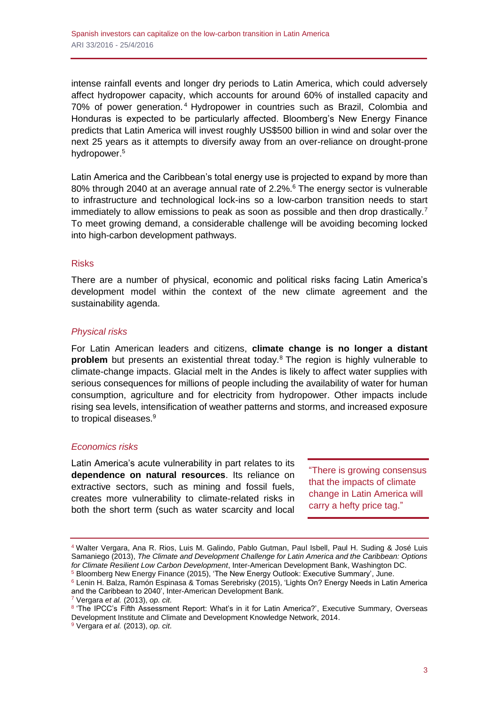intense rainfall events and longer dry periods to Latin America, which could adversely affect hydropower capacity, which accounts for around 60% of installed capacity and 70% of power generation. <sup>4</sup> Hydropower in countries such as Brazil, Colombia and Honduras is expected to be particularly affected. Bloomberg's New Energy Finance predicts that Latin America will invest roughly US\$500 billion in wind and solar over the next 25 years as it attempts to diversify away from an over-reliance on drought-prone hydropower.<sup>5</sup>

Latin America and the Caribbean's total energy use is projected to expand by more than 80% through 2040 at an average annual rate of 2.2%.<sup>6</sup> The energy sector is vulnerable to infrastructure and technological lock-ins so a low-carbon transition needs to start immediately to allow emissions to peak as soon as possible and then drop drastically.<sup>7</sup> To meet growing demand, a considerable challenge will be avoiding becoming locked into high-carbon development pathways.

# Risks

There are a number of physical, economic and political risks facing Latin America's development model within the context of the new climate agreement and the sustainability agenda.

# *Physical risks*

For Latin American leaders and citizens, **climate change is no longer a distant problem** but presents an existential threat today.<sup>8</sup> The region is highly vulnerable to climate-change impacts. Glacial melt in the Andes is likely to affect water supplies with serious consequences for millions of people including the availability of water for human consumption, agriculture and for electricity from hydropower. Other impacts include rising sea levels, intensification of weather patterns and storms, and increased exposure to tropical diseases.<sup>9</sup>

# *Economics risks*

Latin America's acute vulnerability in part relates to its **dependence on natural resources**. Its reliance on extractive sectors, such as mining and fossil fuels, creates more vulnerability to climate-related risks in both the short term (such as water scarcity and local

"There is growing consensus that the impacts of climate change in Latin America will carry a hefty price tag."

<sup>4</sup> Walter Vergara, Ana R. Rios, Luis M. Galindo, Pablo Gutman, Paul Isbell, Paul H. Suding & José Luis Samaniego (2013), *The Climate and Development Challenge for Latin America and the Caribbean: Options for Climate Resilient Low Carbon Development*, Inter-American Development Bank, Washington DC.

<sup>&</sup>lt;sup>5</sup> Bloomberg New Energy Finance (2015), 'The New Energy Outlook: Executive Summary', June. <sup>6</sup> Lenin H. Balza, Ramón Espinasa & Tomas Serebrisky (2015), 'Lights On? Energy Needs in Latin America

and the Caribbean to 2040', Inter-American Development Bank.

<sup>7</sup> Vergara *et al.* (2013), *op. cit*.

<sup>&</sup>lt;sup>8</sup> 'The IPCC's Fifth Assessment Report: What's in it for Latin America?', Executive Summary, Overseas Development Institute and Climate and Development Knowledge Network, 2014.

<sup>9</sup> Vergara *et al.* (2013), *op. cit*.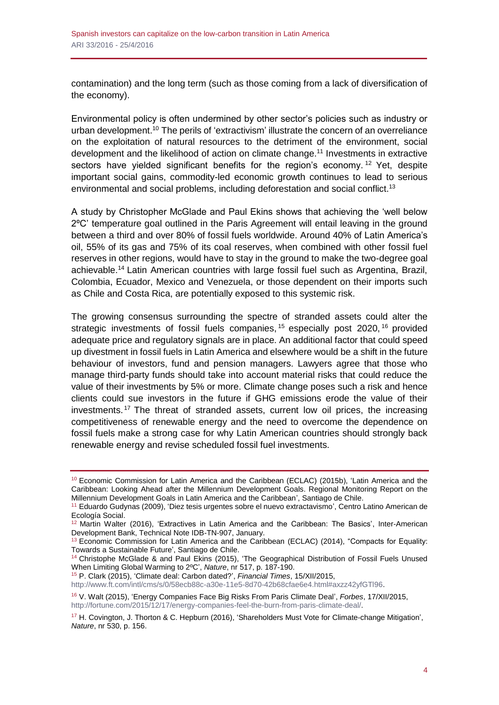contamination) and the long term (such as those coming from a lack of diversification of the economy).

Environmental policy is often undermined by other sector's policies such as industry or urban development.<sup>10</sup> The perils of 'extractivism' illustrate the concern of an overreliance on the exploitation of natural resources to the detriment of the environment, social development and the likelihood of action on climate change.<sup>11</sup> Investments in extractive sectors have yielded significant benefits for the region's economy.<sup>12</sup> Yet, despite important social gains, commodity-led economic growth continues to lead to serious environmental and social problems, including deforestation and social conflict.<sup>13</sup>

A study by Christopher McGlade and Paul Ekins shows that achieving the 'well below 2ºC' temperature goal outlined in the Paris Agreement will entail leaving in the ground between a third and over 80% of fossil fuels worldwide. Around 40% of Latin America's oil, 55% of its gas and 75% of its coal reserves, when combined with other fossil fuel reserves in other regions, would have to stay in the ground to make the two-degree goal achievable.<sup>14</sup> Latin American countries with large fossil fuel such as Argentina, Brazil, Colombia, Ecuador, Mexico and Venezuela, or those dependent on their imports such as Chile and Costa Rica, are potentially exposed to this systemic risk.

The growing consensus surrounding the spectre of stranded assets could alter the strategic investments of fossil fuels companies,<sup>15</sup> especially post 2020,<sup>16</sup> provided adequate price and regulatory signals are in place. An additional factor that could speed up divestment in fossil fuels in Latin America and elsewhere would be a shift in the future behaviour of investors, fund and pension managers. Lawyers agree that those who manage third-party funds should take into account material risks that could reduce the value of their investments by 5% or more. Climate change poses such a risk and hence clients could sue investors in the future if GHG emissions erode the value of their investments. <sup>17</sup> The threat of stranded assets, current low oil prices, the increasing competitiveness of renewable energy and the need to overcome the dependence on fossil fuels make a strong case for why Latin American countries should strongly back renewable energy and revise scheduled fossil fuel investments.

<sup>15</sup> P. Clark (2015), 'Climate deal: Carbon dated?', *Financial Times*, 15/XII/2015,

[http://www.ft.com/intl/cms/s/0/58ecb88c-a30e-11e5-8d70-42b68cfae6e4.html#axzz42yfGTl96.](http://www.ft.com/intl/cms/s/0/58ecb88c-a30e-11e5-8d70-42b68cfae6e4.html#axzz42yfGTl96)

<sup>&</sup>lt;sup>10</sup> Economic Commission for Latin America and the Caribbean (ECLAC) (2015b), 'Latin America and the Caribbean: Looking Ahead after the Millennium Development Goals. Regional Monitoring Report on the Millennium Development Goals in Latin America and the Caribbean', Santiago de Chile.

<sup>11</sup> Eduardo Gudynas (2009), 'Diez tesis urgentes sobre el nuevo extractavismo', Centro Latino American de Ecología Social.

<sup>12</sup> Martin Walter (2016), 'Extractives in Latin America and the Caribbean: The Basics', Inter-American Development Bank, Technical Note IDB-TN-907, January.

<sup>&</sup>lt;sup>13</sup> Economic Commission for Latin America and the Caribbean (ECLAC) (2014), "Compacts for Equality: Towards a Sustainable Future', Santiago de Chile.

<sup>&</sup>lt;sup>14</sup> Christophe McGlade & and Paul Ekins (2015), 'The Geographical Distribution of Fossil Fuels Unused When Limiting Global Warming to 2ºC', *Nature*, nr 517, p. 187-190.

<sup>16</sup> V. Walt (2015), 'Energy Companies Face Big Risks From Paris Climate Deal', *Forbes*, 17/XII/2015, [http://fortune.com/2015/12/17/energy-companies-feel-the-burn-from-paris-climate-deal/.](http://fortune.com/2015/12/17/energy-companies-feel-the-burn-from-paris-climate-deal/)

<sup>&</sup>lt;sup>17</sup> H. Covington, J. Thorton & C. Hepburn (2016), 'Shareholders Must Vote for Climate-change Mitigation', *Nature*, nr 530, p. 156.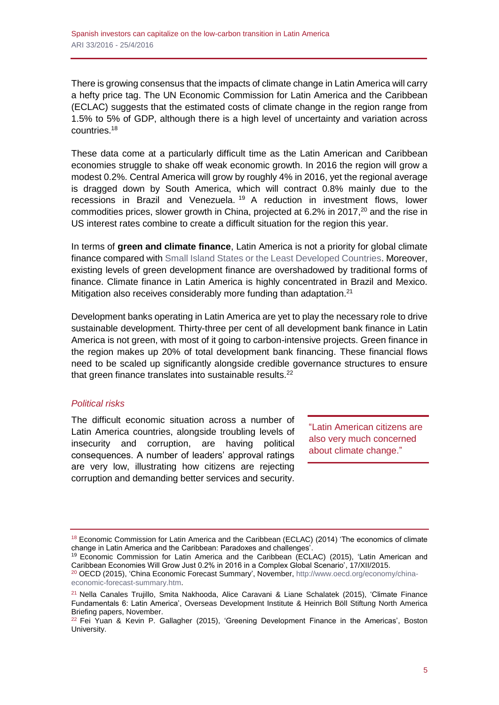There is growing consensus that the impacts of climate change in Latin America will carry a hefty price tag. The UN Economic Commission for Latin America and the Caribbean (ECLAC) suggests that the estimated costs of climate change in the region range from 1.5% to 5% of GDP, although there is a high level of uncertainty and variation across countries.<sup>18</sup>

These data come at a particularly difficult time as the Latin American and Caribbean economies struggle to shake off weak economic growth. In 2016 the region will grow a modest 0.2%. Central America will grow by roughly 4% in 2016, yet the regional average is dragged down by South America, which will contract 0.8% mainly due to the recessions in Brazil and Venezuela. <sup>19</sup> A reduction in investment flows, lower commodities prices, slower growth in China, projected at 6.2% in 2017, <sup>20</sup> and the rise in US interest rates combine to create a difficult situation for the region this year.

In terms of **green and climate finance**, Latin America is not a priority for global climate finance compared with [Small Island States or the Least Developed Countries.](http://www.realinstitutoelcano.org/wps/portal/web/rielcano_en/contenido?WCM_GLOBAL_CONTEXT=/elcano/elcano_es/especiales/especial+cambio+climatico/publicaciones+rie/ari+y+dt/dt1-2012) Moreover, existing levels of green development finance are overshadowed by traditional forms of finance. Climate finance in Latin America is highly concentrated in Brazil and Mexico. Mitigation also receives considerably more funding than adaptation.<sup>21</sup>

Development banks operating in Latin America are yet to play the necessary role to drive sustainable development. Thirty-three per cent of all development bank finance in Latin America is not green, with most of it going to carbon-intensive projects. Green finance in the region makes up 20% of total development bank financing. These financial flows need to be scaled up significantly alongside credible governance structures to ensure that green finance translates into sustainable results.<sup>22</sup>

# *Political risks*

The difficult economic situation across a number of Latin America countries, alongside troubling levels of insecurity and corruption, are having political consequences. A number of leaders' approval ratings are very low, illustrating how citizens are rejecting corruption and demanding better services and security.

"Latin American citizens are also very much concerned about climate change."

<sup>&</sup>lt;sup>18</sup> Economic Commission for Latin America and the Caribbean (ECLAC) (2014) 'The economics of climate change in Latin America and the Caribbean: Paradoxes and challenges'.

<sup>&</sup>lt;sup>19</sup> Economic Commission for Latin America and the Caribbean (ECLAC) (2015), 'Latin American and Caribbean Economies Will Grow Just 0.2% in 2016 in a Complex Global Scenario', 17/XII/2015.

<sup>&</sup>lt;sup>20</sup> OECD (2015), 'China Economic Forecast Summary', November[, http://www.oecd.org/economy/china](http://www.oecd.org/economy/china-economic-forecast-summary.htm)[economic-forecast-summary.htm.](http://www.oecd.org/economy/china-economic-forecast-summary.htm)

<sup>21</sup> Nella Canales Trujillo, Smita Nakhooda, Alice Caravani & Liane Schalatek (2015), 'Climate Finance Fundamentals 6: Latin America', Overseas Development Institute & Heinrich Böll Stiftung North America Briefing papers, November.

 $22$  Fei Yuan & Kevin P. Gallagher (2015), 'Greening Development Finance in the Americas', Boston University.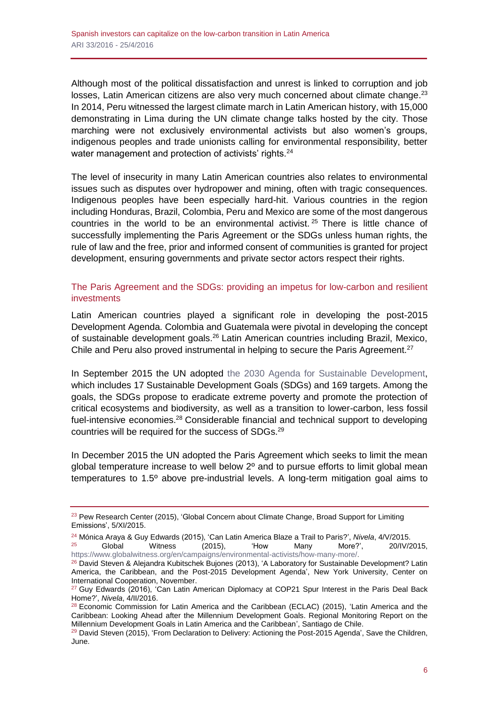Although most of the political dissatisfaction and unrest is linked to corruption and job losses, Latin American citizens are also very much concerned about climate change.<sup>23</sup> In 2014, Peru witnessed the largest climate march in Latin American history, with 15,000 demonstrating in Lima during the UN climate change talks hosted by the city. Those marching were not exclusively environmental activists but also women's groups, indigenous peoples and trade unionists calling for environmental responsibility, better water management and protection of activists' rights.<sup>24</sup>

The level of insecurity in many Latin American countries also relates to environmental issues such as disputes over hydropower and mining, often with tragic consequences. Indigenous peoples have been especially hard-hit. Various countries in the region including Honduras, Brazil, Colombia, Peru and Mexico are some of the most dangerous countries in the world to be an environmental activist.  $25$  There is little chance of successfully implementing the Paris Agreement or the SDGs unless human rights, the rule of law and the free, prior and informed consent of communities is granted for project development, ensuring governments and private sector actors respect their rights.

# The Paris Agreement and the SDGs: providing an impetus for low-carbon and resilient investments

Latin American countries played a significant role in developing the post-2015 Development Agenda. Colombia and Guatemala were pivotal in developing the concept of sustainable development goals.<sup>26</sup> Latin American countries including Brazil, Mexico, Chile and Peru also proved instrumental in helping to secure the Paris Agreement. $27$ 

In September 2015 the UN adopted [the 2030 Agenda for Sustainable Development,](http://www.un.org/sustainabledevelopment/) which includes 17 Sustainable Development Goals (SDGs) and 169 targets. Among the goals, the SDGs propose to eradicate extreme poverty and promote the protection of critical ecosystems and biodiversity, as well as a transition to lower-carbon, less fossil fuel-intensive economies.<sup>28</sup> Considerable financial and technical support to developing countries will be required for the success of SDGs.<sup>29</sup>

In December 2015 the UN adopted the Paris Agreement which seeks to limit the mean global temperature increase to well below  $2<sup>o</sup>$  and to pursue efforts to limit global mean temperatures to 1.5º above pre-industrial levels. A long-term mitigation goal aims to

<sup>&</sup>lt;sup>23</sup> Pew Research Center (2015), 'Global Concern about Climate Change, Broad Support for Limiting Emissions', 5/XI/2015.

<sup>24</sup> Mónica Araya & Guy Edwards (2015), 'Can Latin America Blaze a Trail to Paris?', *Nivela*, 4/V/2015.

<sup>25</sup> Global Witness (2015), 'How Many More?', 20/IV/2015, [https://www.globalwitness.org/en/campaigns/environmental-activists/how-many-more/.](https://www.globalwitness.org/en/campaigns/environmental-activists/how-many-more/)

<sup>26</sup> David Steven & Alejandra Kubitschek Bujones (2013), 'A Laboratory for Sustainable Development? Latin America, the Caribbean, and the Post-2015 Development Agenda', New York University, Center on International Cooperation, November.

<sup>&</sup>lt;sup>27</sup> Guy Edwards (2016), 'Can Latin American Diplomacy at COP21 Spur Interest in the Paris Deal Back Home?', *Nivela*, 4/II/2016.

 $28$  Economic Commission for Latin America and the Caribbean (ECLAC) (2015), 'Latin America and the Caribbean: Looking Ahead after the Millennium Development Goals. Regional Monitoring Report on the Millennium Development Goals in Latin America and the Caribbean', Santiago de Chile.

<sup>&</sup>lt;sup>29</sup> David Steven (2015), 'From Declaration to Delivery: Actioning the Post-2015 Agenda', Save the Children, June.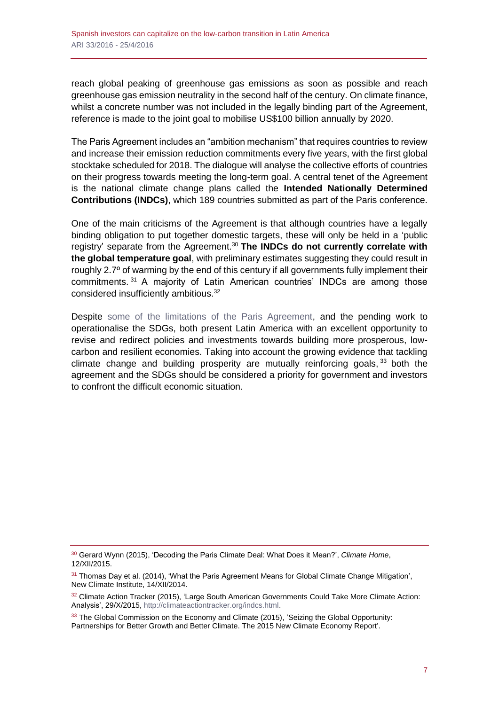reach global peaking of greenhouse gas emissions as soon as possible and reach greenhouse gas emission neutrality in the second half of the century. On climate finance, whilst a concrete number was not included in the legally binding part of the Agreement, reference is made to the joint goal to mobilise US\$100 billion annually by 2020.

The Paris Agreement includes an "ambition mechanism" that requires countries to review and increase their emission reduction commitments every five years, with the first global stocktake scheduled for 2018. The dialogue will analyse the collective efforts of countries on their progress towards meeting the long-term goal. A central tenet of the Agreement is the national climate change plans called the **Intended Nationally Determined Contributions (INDCs)**, which 189 countries submitted as part of the Paris conference.

One of the main criticisms of the Agreement is that although countries have a legally binding obligation to put together domestic targets, these will only be held in a 'public registry' separate from the Agreement.<sup>30</sup> **The INDCs do not currently correlate with the global temperature goal**, with preliminary estimates suggesting they could result in roughly 2.7º of warming by the end of this century if all governments fully implement their commitments. <sup>31</sup> A majority of Latin American countries' INDCs are among those considered insufficiently ambitious.<sup>32</sup>

Despite [some of the limitations of the Paris Agreement,](http://www.realinstitutoelcano.org/wps/portal/web/rielcano_en/contenido?WCM_GLOBAL_CONTEXT=/elcano/elcano_es/especiales/especial+cambio+climatico/publicaciones+rie/ari+y+dt/ari2-2016-lazarotouza-cop21-paris-agreement-diplomacy-masterclass-search-greater-climate-ambition) and the pending work to operationalise the SDGs, both present Latin America with an excellent opportunity to revise and redirect policies and investments towards building more prosperous, lowcarbon and resilient economies. Taking into account the growing evidence that tackling climate change and building prosperity are mutually reinforcing goals, <sup>33</sup> both the agreement and the SDGs should be considered a priority for government and investors to confront the difficult economic situation.

<sup>30</sup> Gerard Wynn (2015), 'Decoding the Paris Climate Deal: What Does it Mean?', *Climate Home*, 12/XII/2015.

<sup>&</sup>lt;sup>31</sup> Thomas Day et al. (2014), 'What the Paris Agreement Means for Global Climate Change Mitigation', New Climate Institute, 14/XII/2014.

 $32$  Climate Action Tracker (2015), 'Large South American Governments Could Take More Climate Action: Analysis', 29/X/2015, [http://climateactiontracker.org/indcs.html.](http://climateactiontracker.org/indcs.html)

<sup>&</sup>lt;sup>33</sup> The Global Commission on the Economy and Climate (2015), 'Seizing the Global Opportunity: Partnerships for Better Growth and Better Climate. The 2015 New Climate Economy Report'.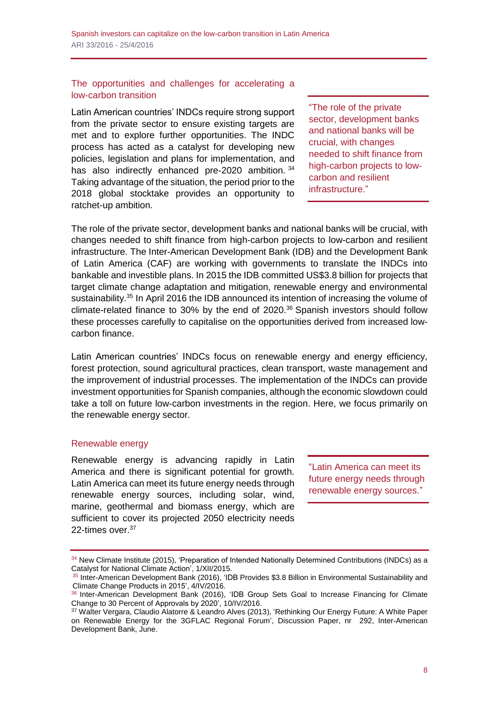# The opportunities and challenges for accelerating a low-carbon transition

Latin American countries' INDCs require strong support from the private sector to ensure existing targets are met and to explore further opportunities. The INDC process has acted as a catalyst for developing new policies, legislation and plans for implementation, and has also indirectly enhanced pre-2020 ambition. 34 Taking advantage of the situation, the period prior to the 2018 global stocktake provides an opportunity to ratchet-up ambition.

"The role of the private sector, development banks and national banks will be crucial, with changes needed to shift finance from high-carbon projects to lowcarbon and resilient infrastructure."

The role of the private sector, development banks and national banks will be crucial, with changes needed to shift finance from high-carbon projects to low-carbon and resilient infrastructure. The Inter-American Development Bank (IDB) and the Development Bank of Latin America (CAF) are working with governments to translate the INDCs into bankable and investible plans. In 2015 the IDB committed US\$3.8 billion for projects that target climate change adaptation and mitigation, renewable energy and environmental sustainability.<sup>35</sup> In April 2016 the IDB announced its intention of increasing the volume of climate-related finance to 30% by the end of 2020.<sup>36</sup> Spanish investors should follow these processes carefully to capitalise on the opportunities derived from increased lowcarbon finance.

Latin American countries' INDCs focus on renewable energy and energy efficiency, forest protection, sound agricultural practices, clean transport, waste management and the improvement of industrial processes. The implementation of the INDCs can provide investment opportunities for Spanish companies, although the economic slowdown could take a toll on future low-carbon investments in the region. Here, we focus primarily on the renewable energy sector.

# Renewable energy

Renewable energy is advancing rapidly in Latin America and there is significant potential for growth. Latin America can meet its future energy needs through renewable energy sources, including solar, wind, marine, geothermal and biomass energy, which are sufficient to cover its projected 2050 electricity needs 22-times over.<sup>37</sup>

"Latin America can meet its future energy needs through renewable energy sources."

<sup>34</sup> New Climate Institute (2015), 'Preparation of Intended Nationally Determined Contributions (INDCs) as a Catalyst for National Climate Action', 1/XII/2015.

<sup>35</sup> Inter-American Development Bank (2016), 'IDB Provides \$3.8 Billion in Environmental Sustainability and Climate Change Products in 2015', 4/IV/2016.

<sup>36</sup> Inter-American Development Bank (2016), 'IDB Group Sets Goal to Increase Financing for Climate Change to 30 Percent of Approvals by 2020', 10/IV/2016.

<sup>37</sup> Walter Vergara, Claudio Alatorre & Leandro Alves (2013), 'Rethinking Our Energy Future: A White Paper on Renewable Energy for the 3GFLAC Regional Forum', Discussion Paper, nr 292, Inter-American Development Bank, June.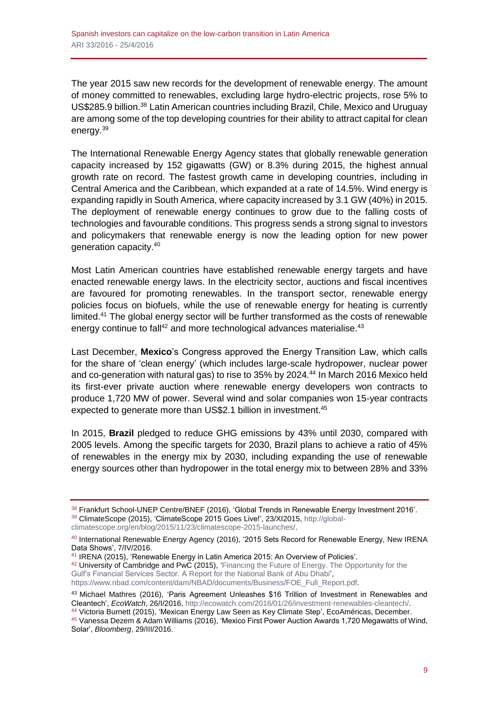The year 2015 saw new records for the development of renewable energy. The amount of money committed to renewables, excluding large hydro-electric projects, rose 5% to US\$285.9 billion.<sup>38</sup> Latin American countries including Brazil, Chile, Mexico and Uruguay are among some of the top developing countries for their ability to attract capital for clean energy.<sup>39</sup>

The International Renewable Energy Agency states that globally renewable generation capacity increased by 152 gigawatts (GW) or 8.3% during 2015, the highest annual growth rate on record. The fastest growth came in developing countries, including in Central America and the Caribbean, which expanded at a rate of 14.5%. Wind energy is expanding rapidly in South America, where capacity increased by 3.1 GW (40%) in 2015. The deployment of renewable energy continues to grow due to the falling costs of technologies and favourable conditions. This progress sends a strong signal to investors and policymakers that renewable energy is now the leading option for new power generation capacity.<sup>40</sup>

Most Latin American countries have established renewable energy targets and have enacted renewable energy laws. In the electricity sector, auctions and fiscal incentives are favoured for promoting renewables. In the transport sector, renewable energy policies focus on biofuels, while the use of renewable energy for heating is currently limited.<sup>41</sup> The global energy sector will be further transformed as the costs of renewable energy continue to fall<sup>42</sup> and more technological advances materialise.<sup>43</sup>

Last December, **Mexico**'s Congress approved the Energy Transition Law, which calls for the share of 'clean energy' (which includes large-scale hydropower, nuclear power and co-generation with natural gas) to rise to 35% by 2024.<sup>44</sup> In March 2016 Mexico held its first-ever private auction where renewable energy developers won contracts to produce 1,720 MW of power. Several wind and solar companies won 15-year contracts expected to generate more than US\$2.1 billion in investment.<sup>45</sup>

In 2015, **Brazil** pledged to reduce GHG emissions by 43% until 2030, compared with 2005 levels. Among the specific targets for 2030, Brazil plans to achieve a ratio of 45% of renewables in the energy mix by 2030, including expanding the use of renewable energy sources other than hydropower in the total energy mix to between 28% and 33%

<sup>38</sup> Frankfurt School-UNEP Centre/BNEF (2016), 'Global Trends in Renewable Energy Investment 2016'. <sup>39</sup> ClimateScope (2015), 'ClimateScope 2015 Goes Live!', 23/XI2015, [http://global-](http://global-climatescope.org/en/blog/2015/11/23/climatescope-2015-launches/)

[climatescope.org/en/blog/2015/11/23/climatescope-2015-launches/.](http://global-climatescope.org/en/blog/2015/11/23/climatescope-2015-launches/)

<sup>40</sup> International Renewable Energy Agency (2016), '2015 Sets Record for Renewable Energy, New IRENA Data Shows', 7/IV/2016.

<sup>41</sup> IRENA (2015), 'Renewable Energy in Latin America 2015: An Overview of Policies'.

 $42$  University of Cambridge and PwC (2015), 'Financing the Future of Energy. The Opportunity for the [Gulf's Financial Services Sector. A Report for the National Bank of Abu Dhabi',](https://www.nbad.com/content/dam/NBAD/documents/Business/FOE_Full_Report.pdf) [https://www.nbad.com/content/dam/NBAD/documents/Business/FOE\\_Full\\_Report.pdf.](https://www.nbad.com/content/dam/NBAD/documents/Business/FOE_Full_Report.pdf)

<sup>43</sup> Michael Mathres (2016), 'Paris Agreement Unleashes \$16 Trillion of Investment in Renewables and Cleantech', *EcoWatch*, 26/I/2016, [http://ecowatch.com/2016/01/26/investment-renewables-cleantech/.](http://ecowatch.com/2016/01/26/investment-renewables-cleantech/)

<sup>44</sup> Victoria Burnett (2015), 'Mexican Energy Law Seen as Key Climate Step', EcoAméricas, December. <sup>45</sup> Vanessa Dezem & Adam Williams (2016), 'Mexico First Power Auction Awards 1,720 Megawatts of Wind, Solar', *Bloomberg*, 29/III/2016.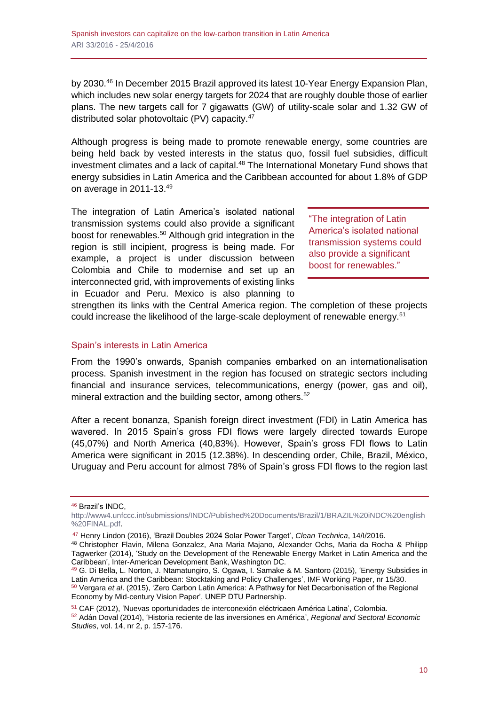by 2030.<sup>46</sup> In December 2015 Brazil approved its latest 10-Year Energy Expansion Plan, which includes new solar energy targets for 2024 that are roughly double those of earlier plans. The new targets call for 7 gigawatts (GW) of utility-scale solar and 1.32 GW of distributed solar photovoltaic (PV) capacity.<sup>47</sup>

Although progress is being made to promote renewable energy, some countries are being held back by vested interests in the status quo, fossil fuel subsidies, difficult investment climates and a lack of capital.<sup>48</sup> The International Monetary Fund shows that energy subsidies in Latin America and the Caribbean accounted for about 1.8% of GDP on average in 2011-13.49

The integration of Latin America's isolated national transmission systems could also provide a significant boost for renewables. <sup>50</sup> Although grid integration in the region is still incipient, progress is being made. For example, a project is under discussion between Colombia and Chile to modernise and set up an interconnected grid, with improvements of existing links in Ecuador and Peru. Mexico is also planning to

"The integration of Latin America's isolated national transmission systems could also provide a significant boost for renewables."

strengthen its links with the Central America region. The completion of these projects could increase the likelihood of the large-scale deployment of renewable energy.<sup>51</sup>

# Spain's interests in Latin America

From the 1990's onwards, Spanish companies embarked on an internationalisation process. Spanish investment in the region has focused on strategic sectors including financial and insurance services, telecommunications, energy (power, gas and oil), mineral extraction and the building sector, among others.<sup>52</sup>

After a recent bonanza, Spanish foreign direct investment (FDI) in Latin America has wavered. In 2015 Spain's gross FDI flows were largely directed towards Europe (45,07%) and North America (40,83%). However, Spain's gross FDI flows to Latin America were significant in 2015 (12.38%). In descending order, Chile, Brazil, México, Uruguay and Peru account for almost 78% of Spain's gross FDI flows to the region last

<sup>46</sup> Brazil's INDC,

[http://www4.unfccc.int/submissions/INDC/Published%20Documents/Brazil/1/BRAZIL%20iNDC%20english](http://www4.unfccc.int/submissions/INDC/Published%20Documents/Brazil/1/BRAZIL%20iNDC%20english%20FINAL.pdf) [%20FINAL.pdf.](http://www4.unfccc.int/submissions/INDC/Published%20Documents/Brazil/1/BRAZIL%20iNDC%20english%20FINAL.pdf)

<sup>47</sup> Henry Lindon (2016), 'Brazil Doubles 2024 Solar Power Target', *Clean Technica*, 14/I/2016.

<sup>48</sup> Christopher Flavin, Milena Gonzalez, Ana Maria Majano, Alexander Ochs, Maria da Rocha & Philipp Tagwerker (2014), 'Study on the Development of the Renewable Energy Market in Latin America and the Caribbean', Inter-American Development Bank, Washington DC.

<sup>49</sup> G. Di Bella, L. Norton, J. Ntamatungiro, S. Ogawa, I. Samake & M. Santoro (2015), 'Energy Subsidies in Latin America and the Caribbean: Stocktaking and Policy Challenges', IMF Working Paper, nr 15/30. <sup>50</sup> Vergara *et al*. (2015), 'Zero Carbon Latin America: A Pathway for Net Decarbonisation of the Regional Economy by Mid-century Vision Paper', UNEP DTU Partnership.

<sup>51</sup> CAF (2012), 'Nuevas oportunidades de interconexión eléctricaen América Latina', Colombia. <sup>52</sup> Adán Doval (2014), 'Historia reciente de las inversiones en América', *Regional and Sectoral Economic Studies*, vol. 14, nr 2, p. 157-176.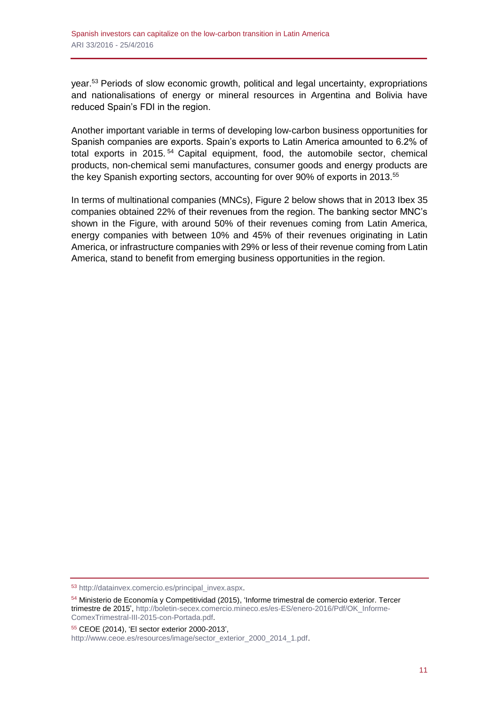year.<sup>53</sup> Periods of slow economic growth, political and legal uncertainty, expropriations and nationalisations of energy or mineral resources in Argentina and Bolivia have reduced Spain's FDI in the region.

Another important variable in terms of developing low-carbon business opportunities for Spanish companies are exports. Spain's exports to Latin America amounted to 6.2% of total exports in 2015. <sup>54</sup> Capital equipment, food, the automobile sector, chemical products, non-chemical semi manufactures, consumer goods and energy products are the key Spanish exporting sectors, accounting for over 90% of exports in 2013.<sup>55</sup>

In terms of multinational companies (MNCs), Figure 2 below shows that in 2013 Ibex 35 companies obtained 22% of their revenues from the region. The banking sector MNC's shown in the Figure, with around 50% of their revenues coming from Latin America, energy companies with between 10% and 45% of their revenues originating in Latin America, or infrastructure companies with 29% or less of their revenue coming from Latin America, stand to benefit from emerging business opportunities in the region.

<sup>53</sup> [http://datainvex.comercio.es/principal\\_invex.aspx.](http://datainvex.comercio.es/principal_invex.aspx)

<sup>54</sup> Ministerio de Economía y Competitividad (2015), 'Informe trimestral de comercio exterior. Tercer trimestre de 2015', [http://boletin-secex.comercio.mineco.es/es-ES/enero-2016/Pdf/OK\\_Informe-](http://boletin-secex.comercio.mineco.es/es-ES/enero-2016/Pdf/OK_Informe-ComexTrimestral-III-2015-con-Portada.pdf)[ComexTrimestral-III-2015-con-Portada.pdf.](http://boletin-secex.comercio.mineco.es/es-ES/enero-2016/Pdf/OK_Informe-ComexTrimestral-III-2015-con-Portada.pdf)

<sup>55</sup> CEOE (2014), 'El sector exterior 2000-2013',

[http://www.ceoe.es/resources/image/sector\\_exterior\\_2000\\_2014\\_1.pdf.](http://www.ceoe.es/resources/image/sector_exterior_2000_2014_1.pdf)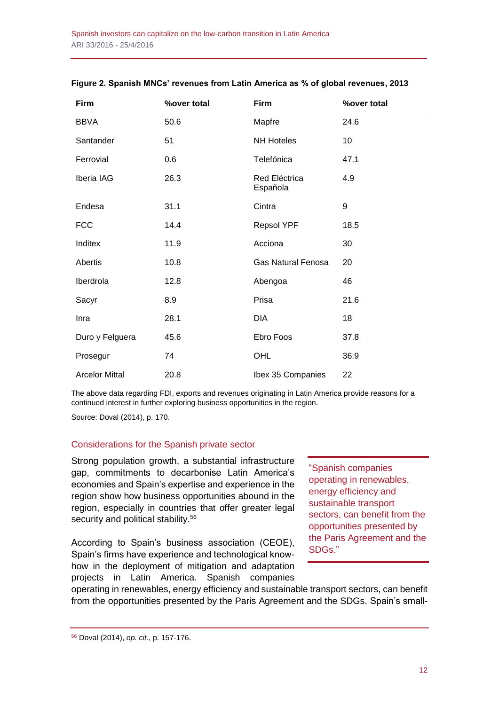| Firm                  | <b>%over total</b> | Firm                      | <b>%over total</b> |
|-----------------------|--------------------|---------------------------|--------------------|
| <b>BBVA</b>           | 50.6               | Mapfre                    | 24.6               |
| Santander             | 51                 | <b>NH Hoteles</b>         | 10                 |
| Ferrovial             | 0.6                | Telefónica                | 47.1               |
| Iberia IAG            | 26.3               | Red Eléctrica<br>Española | 4.9                |
| Endesa                | 31.1               | Cintra                    | $9\,$              |
| <b>FCC</b>            | 14.4               | Repsol YPF                | 18.5               |
| Inditex               | 11.9               | Acciona                   | 30                 |
| <b>Abertis</b>        | 10.8               | <b>Gas Natural Fenosa</b> | 20                 |
| Iberdrola             | 12.8               | Abengoa                   | 46                 |
| Sacyr                 | 8.9                | Prisa                     | 21.6               |
| Inra                  | 28.1               | <b>DIA</b>                | 18                 |
| Duro y Felguera       | 45.6               | Ebro Foos                 | 37.8               |
| Prosegur              | 74                 | OHL                       | 36.9               |
| <b>Arcelor Mittal</b> | 20.8               | Ibex 35 Companies         | 22                 |

#### **Figure 2. Spanish MNCs' revenues from Latin America as % of global revenues, 2013**

The above data regarding FDI, exports and revenues originating in Latin America provide reasons for a continued interest in further exploring business opportunities in the region.

Source: Doval (2014), p. 170.

# Considerations for the Spanish private sector

Strong population growth, a substantial infrastructure gap, commitments to decarbonise Latin America's economies and Spain's expertise and experience in the region show how business opportunities abound in the region, especially in countries that offer greater legal security and political stability.<sup>56</sup>

According to Spain's business association (CEOE), Spain's firms have experience and technological knowhow in the deployment of mitigation and adaptation projects in Latin America. Spanish companies

"Spanish companies operating in renewables, energy efficiency and sustainable transport sectors, can benefit from the opportunities presented by the Paris Agreement and the SDGs."

operating in renewables, energy efficiency and sustainable transport sectors, can benefit from the opportunities presented by the Paris Agreement and the SDGs. Spain's small-

<sup>56</sup> Doval (2014), *op. cit*., p. 157-176.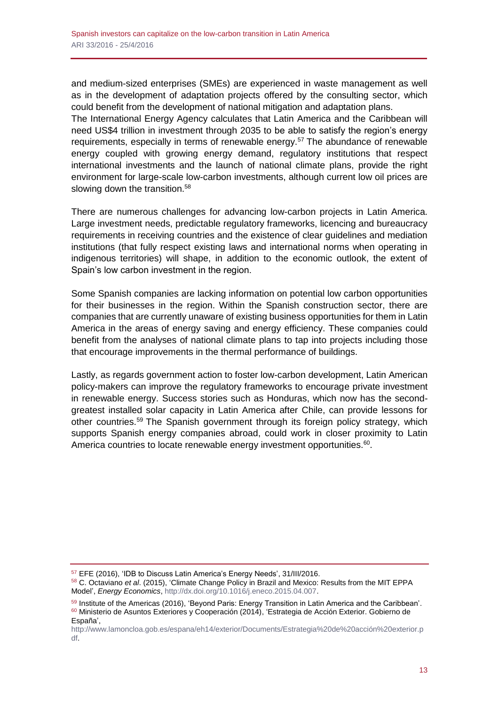and medium-sized enterprises (SMEs) are experienced in waste management as well as in the development of adaptation projects offered by the consulting sector, which could benefit from the development of national mitigation and adaptation plans.

The International Energy Agency calculates that Latin America and the Caribbean will need US\$4 trillion in investment through 2035 to be able to satisfy the region's energy requirements, especially in terms of renewable energy.<sup>57</sup> The abundance of renewable energy coupled with growing energy demand, regulatory institutions that respect international investments and the launch of national climate plans, provide the right environment for large-scale low-carbon investments, although current low oil prices are slowing down the transition.<sup>58</sup>

There are numerous challenges for advancing low-carbon projects in Latin America. Large investment needs, predictable regulatory frameworks, licencing and bureaucracy requirements in receiving countries and the existence of clear guidelines and mediation institutions (that fully respect existing laws and international norms when operating in indigenous territories) will shape, in addition to the economic outlook, the extent of Spain's low carbon investment in the region.

Some Spanish companies are lacking information on potential low carbon opportunities for their businesses in the region. Within the Spanish construction sector, there are companies that are currently unaware of existing business opportunities for them in Latin America in the areas of energy saving and energy efficiency. These companies could benefit from the analyses of national climate plans to tap into projects including those that encourage improvements in the thermal performance of buildings.

Lastly, as regards government action to foster low-carbon development, Latin American policy-makers can improve the regulatory frameworks to encourage private investment in renewable energy. Success stories such as Honduras, which now has the secondgreatest installed solar capacity in Latin America after Chile, can provide lessons for other countries.<sup>59</sup> The Spanish government through its foreign policy strategy, which supports Spanish energy companies abroad, could work in closer proximity to Latin America countries to locate renewable energy investment opportunities.<sup>60</sup>.

<sup>57</sup> EFE (2016), 'IDB to Discuss Latin America's Energy Needs', 31/III/2016.

<sup>58</sup> C. Octaviano *et al*. (2015), 'Climate Change Policy in Brazil and Mexico: Results from the MIT EPPA Model', *Energy Economics*[, http://dx.doi.org/10.1016/j.eneco.2015.04.007.](http://dx.doi.org/10.1016/j.eneco.2015.04.007)

<sup>59</sup> Institute of the Americas (2016), 'Beyond Paris: Energy Transition in Latin America and the Caribbean'. <sup>60</sup> Ministerio de Asuntos Exteriores y Cooperación (2014), 'Estrategia de Acción Exterior. Gobierno de España',

[http://www.lamoncloa.gob.es/espana/eh14/exterior/Documents/Estrategia%20de%20acción%20exterior.p](http://www.lamoncloa.gob.es/espana/eh14/exterior/Documents/Estrategia%20de%20acción%20exterior.pdf) [df.](http://www.lamoncloa.gob.es/espana/eh14/exterior/Documents/Estrategia%20de%20acción%20exterior.pdf)